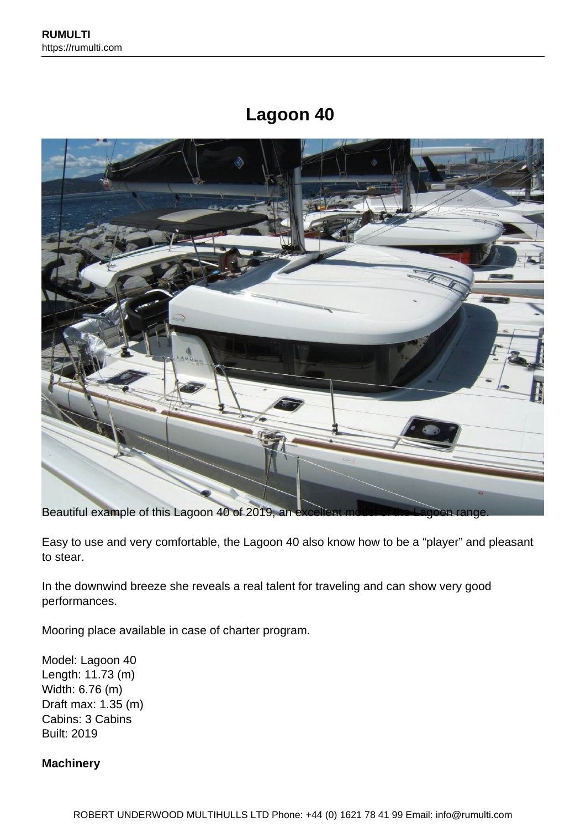# **Lagoon 40**



Beautiful example of this Lagoon 40 of 2019, an excellent

Easy to use and very comfortable, the Lagoon 40 also know how to be a "player" and pleasant to stear.

In the downwind breeze she reveals a real talent for traveling and can show very good performances.

Mooring place available in case of charter program.

Model: Lagoon 40 Length: 11.73 (m) Width: 6.76 (m) Draft max: 1.35 (m) Cabins: 3 Cabins Built: 2019

#### **Machinery**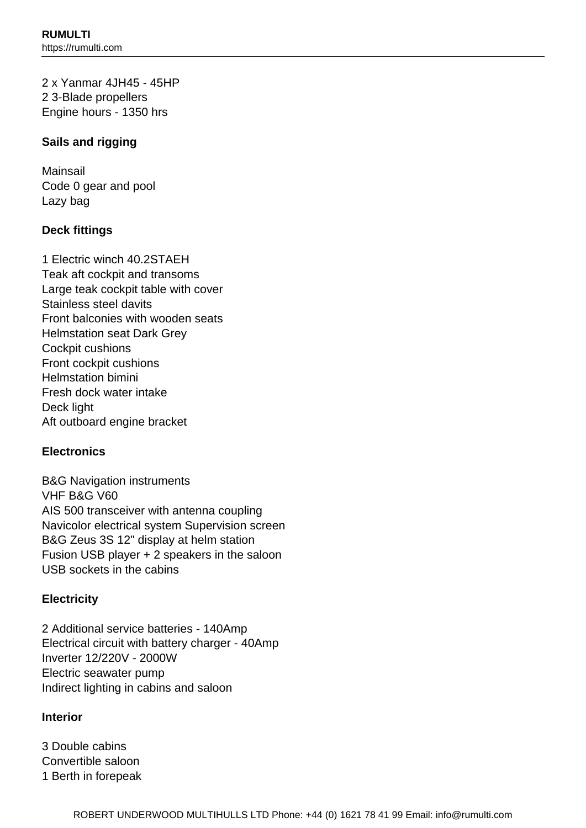2 x Yanmar 4JH45 - 45HP 2 3-Blade propellers Engine hours - 1350 hrs

# **Sails and rigging**

Mainsail Code 0 gear and pool Lazy bag

## **Deck fittings**

1 Electric winch 40.2STAEH Teak aft cockpit and transoms Large teak cockpit table with cover Stainless steel davits Front balconies with wooden seats Helmstation seat Dark Grey Cockpit cushions Front cockpit cushions Helmstation bimini Fresh dock water intake Deck light Aft outboard engine bracket

# **Electronics**

B&G Navigation instruments VHF B&G V60 AIS 500 transceiver with antenna coupling Navicolor electrical system Supervision screen B&G Zeus 3S 12" display at helm station Fusion USB player + 2 speakers in the saloon USB sockets in the cabins

## **Electricity**

2 Additional service batteries - 140Amp Electrical circuit with battery charger - 40Amp Inverter 12/220V - 2000W Electric seawater pump Indirect lighting in cabins and saloon

## **Interior**

3 Double cabins Convertible saloon 1 Berth in forepeak